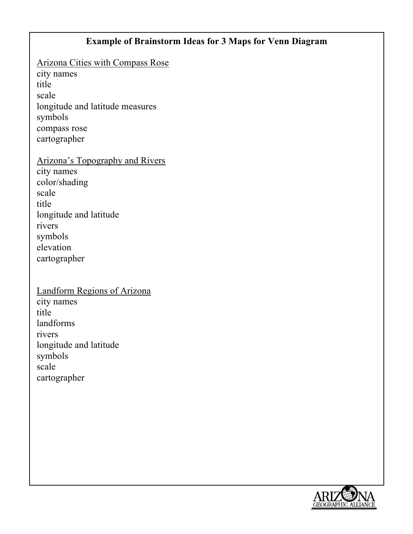### **Example of Brainstorm Ideas for 3 Maps for Venn Diagram**

Arizona Cities with Compass Rose

city names title scale longitude and latitude measures symbols compass rose cartographer

Arizona's Topography and Rivers city names color/shading scale title longitude and latitude rivers symbols elevation cartographer

### Landform Regions of Arizona city names title landforms rivers longitude and latitude symbols scale

cartographer

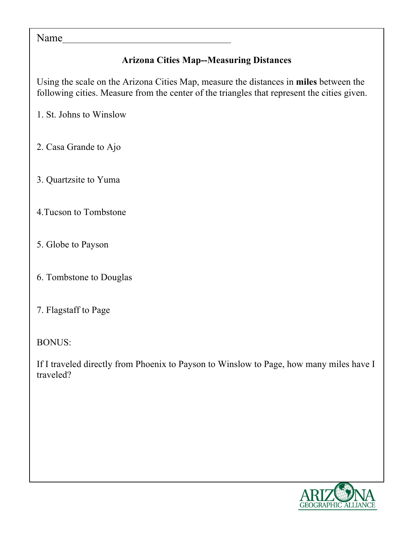#### Name

# **Arizona Cities Map--Measuring Distances**

Using the scale on the Arizona Cities Map, measure the distances in **miles** between the following cities. Measure from the center of the triangles that represent the cities given.

1. St. Johns to Winslow

- 2. Casa Grande to Ajo
- 3. Quartzsite to Yuma
- 4.Tucson to Tombstone
- 5. Globe to Payson
- 6. Tombstone to Douglas
- 7. Flagstaff to Page

BONUS:

If I traveled directly from Phoenix to Payson to Winslow to Page, how many miles have I traveled?

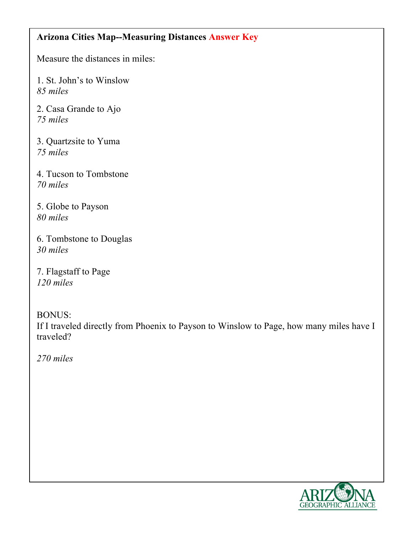### **Arizona Cities Map--Measuring Distances Answer Key**

Measure the distances in miles:

1. St. John's to Winslow *85 miles*

2. Casa Grande to Ajo *75 miles*

3. Quartzsite to Yuma *75 miles*

4. Tucson to Tombstone *70 miles*

5. Globe to Payson *80 miles*

6. Tombstone to Douglas *30 miles*

7. Flagstaff to Page *120 miles*

BONUS:

If I traveled directly from Phoenix to Payson to Winslow to Page, how many miles have I traveled?

*270 miles*

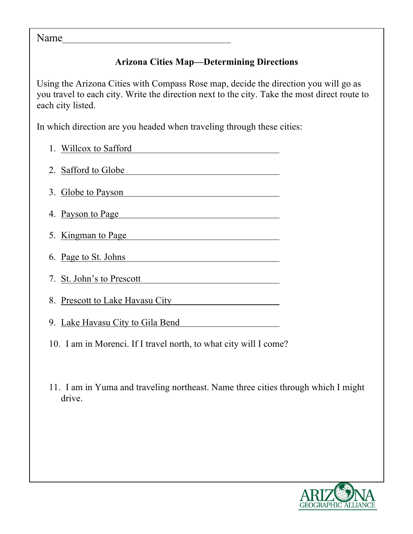#### Name

## **Arizona Cities Map—Determining Directions**

Using the Arizona Cities with Compass Rose map, decide the direction you will go as you travel to each city. Write the direction next to the city. Take the most direct route to each city listed.

In which direction are you headed when traveling through these cities:

| 1. Willcox to Safford            |
|----------------------------------|
| 2. Safford to Globe              |
| 3. Globe to Payson               |
| 4. Payson to Page                |
| 5. Kingman to Page               |
| 6. Page to St. Johns             |
| 7. St. John's to Prescott        |
| 8. Prescott to Lake Havasu City  |
| 9. Lake Havasu City to Gila Bend |
|                                  |

10. I am in Morenci. If I travel north, to what city will I come?

11. I am in Yuma and traveling northeast. Name three cities through which I might drive.

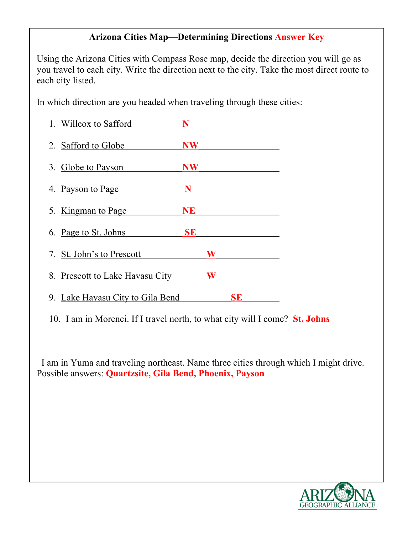### **Arizona Cities Map—Determining Directions Answer Key**

Using the Arizona Cities with Compass Rose map, decide the direction you will go as you travel to each city. Write the direction next to the city. Take the most direct route to each city listed.

In which direction are you headed when traveling through these cities:

| 1. Willcox to Safford            | N         |   |    |  |
|----------------------------------|-----------|---|----|--|
| 2. Safford to Globe              | <b>NW</b> |   |    |  |
| 3. Globe to Payson               | NW        |   |    |  |
| 4. Payson to Page                | N         |   |    |  |
| 5. Kingman to Page               | <b>NE</b> |   |    |  |
| 6. Page to St. Johns             | <b>SE</b> |   |    |  |
| 7. St. John's to Prescott        |           | W |    |  |
| 8. Prescott to Lake Havasu City  |           | W |    |  |
| 9. Lake Havasu City to Gila Bend |           |   | SE |  |

10. I am in Morenci. If I travel north, to what city will I come? **St. Johns**

 I am in Yuma and traveling northeast. Name three cities through which I might drive. Possible answers: **Quartzsite, Gila Bend, Phoenix, Payson**

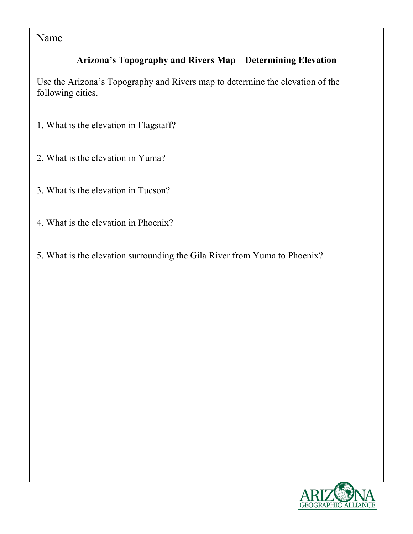Name

# **Arizona's Topography and Rivers Map—Determining Elevation**

Use the Arizona's Topography and Rivers map to determine the elevation of the following cities.

- 1. What is the elevation in Flagstaff?
- 2. What is the elevation in Yuma?
- 3. What is the elevation in Tucson?
- 4. What is the elevation in Phoenix?
- 5. What is the elevation surrounding the Gila River from Yuma to Phoenix?

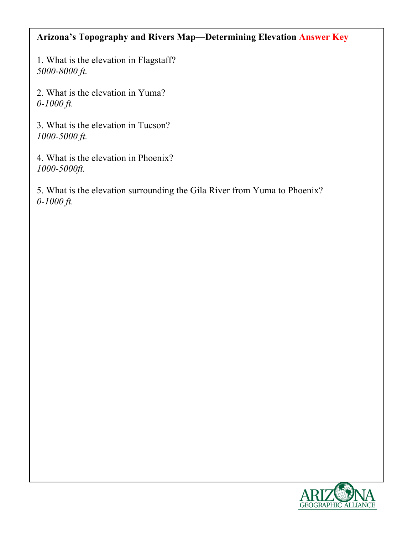## **Arizona's Topography and Rivers Map—Determining Elevation Answer Key**

1. What is the elevation in Flagstaff? *5000-8000 ft.*

2. What is the elevation in Yuma? *0-1000 ft.*

3. What is the elevation in Tucson? *1000-5000 ft.*

4. What is the elevation in Phoenix? *1000-5000ft.*

5. What is the elevation surrounding the Gila River from Yuma to Phoenix? *0-1000 ft.*

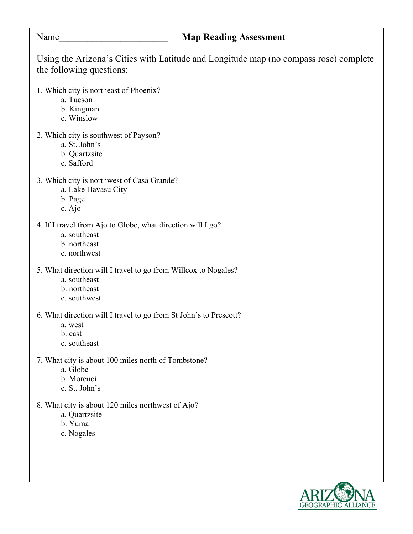#### Name\_\_\_\_\_\_\_\_\_\_\_\_\_\_\_\_\_\_\_\_\_\_\_ **Map Reading Assessment**

Using the Arizona's Cities with Latitude and Longitude map (no compass rose) complete the following questions:

- 1. Which city is northeast of Phoenix?
	- a. Tucson
	- b. Kingman
	- c. Winslow
- 2. Which city is southwest of Payson?
	- a. St. John's
	- b. Quartzsite
	- c. Safford
- 3. Which city is northwest of Casa Grande?
	- a. Lake Havasu City
	- b. Page
	- c. Ajo
- 4. If I travel from Ajo to Globe, what direction will I go?
	- a. southeast
	- b. northeast
	- c. northwest
- 5. What direction will I travel to go from Willcox to Nogales?
	- a. southeast
	- b. northeast
	- c. southwest

6. What direction will I travel to go from St John's to Prescott?

- a. west
- b. east
- c. southeast

7. What city is about 100 miles north of Tombstone?

- a. Globe
- b. Morenci
- c. St. John's
- 8. What city is about 120 miles northwest of Ajo?
	- a. Quartzsite
	- b. Yuma
	- c. Nogales